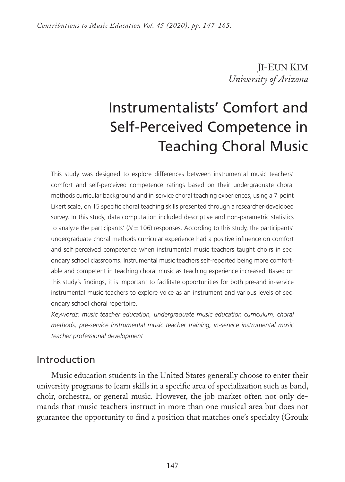JI-EUN KIM *University of Arizona*

# Instrumentalists' Comfort and Self-Perceived Competence in Teaching Choral Music

This study was designed to explore differences between instrumental music teachers' comfort and self-perceived competence ratings based on their undergraduate choral methods curricular background and in-service choral teaching experiences, using a 7-point Likert scale, on 15 specific choral teaching skills presented through a researcher-developed survey. In this study, data computation included descriptive and non-parametric statistics to analyze the participants' (*N* = 106) responses. According to this study, the participants' undergraduate choral methods curricular experience had a positive influence on comfort and self-perceived competence when instrumental music teachers taught choirs in secondary school classrooms. Instrumental music teachers self-reported being more comfortable and competent in teaching choral music as teaching experience increased. Based on this study's findings, it is important to facilitate opportunities for both pre-and in-service instrumental music teachers to explore voice as an instrument and various levels of secondary school choral repertoire.

*Keywords: music teacher education, undergraduate music education curriculum, choral methods, pre-service instrumental music teacher training, in-service instrumental music teacher professional development* 

# Introduction

Music education students in the United States generally choose to enter their university programs to learn skills in a specific area of specialization such as band, choir, orchestra, or general music. However, the job market often not only demands that music teachers instruct in more than one musical area but does not guarantee the opportunity to find a position that matches one's specialty (Groulx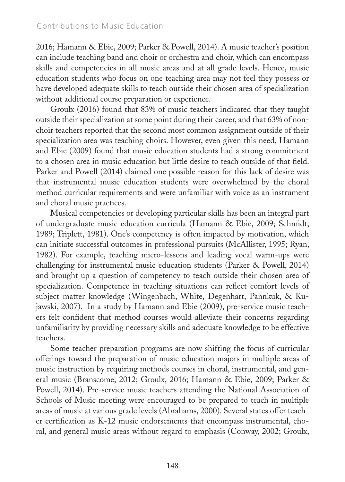2016; Hamann & Ebie, 2009; Parker & Powell, 2014). A music teacher's position can include teaching band and choir or orchestra and choir, which can encompass skills and competencies in all music areas and at all grade levels. Hence, music education students who focus on one teaching area may not feel they possess or have developed adequate skills to teach outside their chosen area of specialization without additional course preparation or experience.

Groulx (2016) found that 83% of music teachers indicated that they taught outside their specialization at some point during their career, and that 63% of nonchoir teachers reported that the second most common assignment outside of their specialization area was teaching choirs. However, even given this need, Hamann and Ebie (2009) found that music education students had a strong commitment to a chosen area in music education but little desire to teach outside of that field. Parker and Powell (2014) claimed one possible reason for this lack of desire was that instrumental music education students were overwhelmed by the choral method curricular requirements and were unfamiliar with voice as an instrument and choral music practices.

Musical competencies or developing particular skills has been an integral part of undergraduate music education curricula (Hamann & Ebie, 2009; Schmidt, 1989; Triplett, 1981). One's competency is often impacted by motivation, which can initiate successful outcomes in professional pursuits (McAllister, 1995; Ryan, 1982). For example, teaching micro-lessons and leading vocal warm-ups were challenging for instrumental music education students (Parker & Powell, 2014) and brought up a question of competency to teach outside their chosen area of specialization. Competence in teaching situations can reflect comfort levels of subject matter knowledge (Wingenbach, White, Degenhart, Pannkuk, & Kujawski, 2007). In a study by Hamann and Ebie (2009), pre-service music teachers felt confident that method courses would alleviate their concerns regarding unfamiliarity by providing necessary skills and adequate knowledge to be effective teachers.

Some teacher preparation programs are now shifting the focus of curricular offerings toward the preparation of music education majors in multiple areas of music instruction by requiring methods courses in choral, instrumental, and general music (Branscome, 2012; Groulx, 2016; Hamann & Ebie, 2009; Parker & Powell, 2014). Pre-service music teachers attending the National Association of Schools of Music meeting were encouraged to be prepared to teach in multiple areas of music at various grade levels (Abrahams, 2000). Several states offer teacher certification as K-12 music endorsements that encompass instrumental, choral, and general music areas without regard to emphasis (Conway, 2002; Groulx,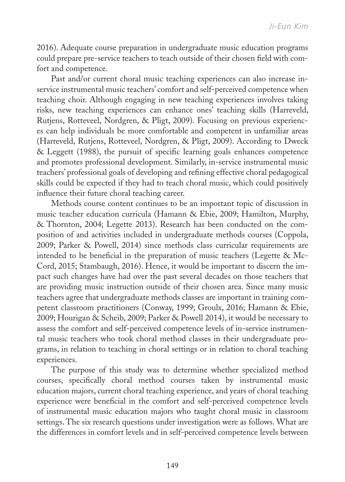2016). Adequate course preparation in undergraduate music education programs could prepare pre-service teachers to teach outside of their chosen field with comfort and competence.

Past and/or current choral music teaching experiences can also increase inservice instrumental music teachers' comfort and self-perceived competence when teaching choir. Although engaging in new teaching experiences involves taking risks, new teaching experiences can enhance ones' teaching skills (Harreveld, Rutjens, Rotteveel, Nordgren, & Pligt, 2009). Focusing on previous experiences can help individuals be more comfortable and competent in unfamiliar areas (Harreveld, Rutjens, Rotteveel, Nordgren, & Pligt, 2009). According to Dweck & Leggett (1988), the pursuit of specific learning goals enhances competence and promotes professional development. Similarly, in-service instrumental music teachers' professional goals of developing and refining effective choral pedagogical skills could be expected if they had to teach choral music, which could positively influence their future choral teaching career.

Methods course content continues to be an important topic of discussion in music teacher education curricula (Hamann & Ebie, 2009; Hamilton, Murphy, & Thornton, 2004; Legette 2013). Research has been conducted on the composition of and activities included in undergraduate methods courses (Coppola, 2009; Parker & Powell, 2014) since methods class curricular requirements are intended to be beneficial in the preparation of music teachers (Legette & Mc-Cord, 2015; Stambaugh, 2016). Hence, it would be important to discern the impact such changes have had over the past several decades on those teachers that are providing music instruction outside of their chosen area. Since many music teachers agree that undergraduate methods classes are important in training competent classroom practitioners (Conway, 1999; Groulx, 2016; Hamann & Ebie, 2009; Hourigan & Scheib, 2009; Parker & Powell 2014), it would be necessary to assess the comfort and self-perceived competence levels of in-service instrumental music teachers who took choral method classes in their undergraduate programs, in relation to teaching in choral settings or in relation to choral teaching experiences.

The purpose of this study was to determine whether specialized method courses, specifically choral method courses taken by instrumental music education majors, current choral teaching experience, and years of choral teaching experience were beneficial in the comfort and self-perceived competence levels of instrumental music education majors who taught choral music in classroom settings. The six research questions under investigation were as follows. What are the differences in comfort levels and in self-perceived competence levels between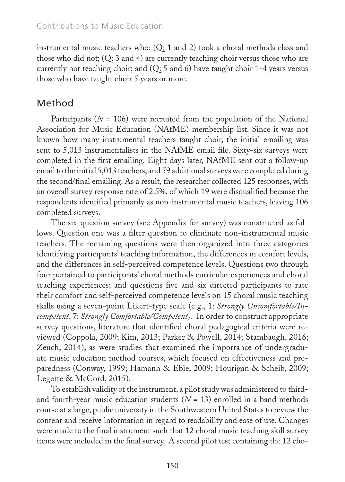instrumental music teachers who: (Q: 1 and 2) took a choral methods class and those who did not; (Q: 3 and 4) are currently teaching choir versus those who are currently not teaching choir; and (Q: 5 and 6) have taught choir 1-4 years versus those who have taught choir 5 years or more.

# Method

Participants ( $N = 106$ ) were recruited from the population of the National Association for Music Education (NAfME) membership list. Since it was not known how many instrumental teachers taught choir, the initial emailing was sent to 5,013 instrumentalists in the NAfME email file. Sixty-six surveys were completed in the first emailing. Eight days later, NAfME sent out a follow-up email to the initial 5,013 teachers, and 59 additional surveys were completed during the second/final emailing. As a result, the researcher collected 125 responses, with an overall survey response rate of 2.5%, of which 19 were disqualified because the respondents identified primarily as non-instrumental music teachers, leaving 106 completed surveys.

The six-question survey (see Appendix for survey) was constructed as follows. Question one was a filter question to eliminate non-instrumental music teachers. The remaining questions were then organized into three categories identifying participants' teaching information, the differences in comfort levels, and the differences in self-perceived competence levels. Questions two through four pertained to participants' choral methods curricular experiences and choral teaching experiences; and questions five and six directed participants to rate their comfort and self-perceived competence levels on 15 choral music teaching skills using a seven-point Likert-type scale (e.g., 1: *Strongly Uncomfortable/Incompetent*, 7: *Strongly Comfortable/Competent)*. In order to construct appropriate survey questions, literature that identified choral pedagogical criteria were reviewed (Coppola, 2009; Kim, 2013; Parker & Powell, 2014; Stambaugh, 2016; Zeuch, 2014), as were studies that examined the importance of undergraduate music education method courses, which focused on effectiveness and preparedness (Conway, 1999; Hamann & Ebie, 2009; Hourigan & Scheib, 2009; Legette & McCord, 2015).

To establish validity of the instrument, a pilot study was administered to thirdand fourth-year music education students  $(N = 13)$  enrolled in a band methods course at a large, public university in the Southwestern United States to review the content and receive information in regard to readability and ease of use. Changes were made to the final instrument such that 12 choral music teaching skill survey items were included in the final survey. A second pilot test containing the 12 cho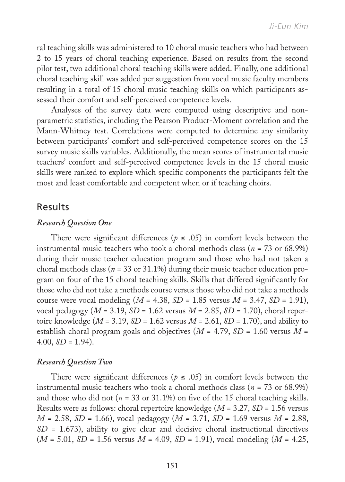ral teaching skills was administered to 10 choral music teachers who had between 2 to 15 years of choral teaching experience. Based on results from the second pilot test, two additional choral teaching skills were added. Finally, one additional choral teaching skill was added per suggestion from vocal music faculty members resulting in a total of 15 choral music teaching skills on which participants assessed their comfort and self-perceived competence levels.

Analyses of the survey data were computed using descriptive and nonparametric statistics, including the Pearson Product-Moment correlation and the Mann-Whitney test. Correlations were computed to determine any similarity between participants' comfort and self-perceived competence scores on the 15 survey music skills variables. Additionally, the mean scores of instrumental music teachers' comfort and self-perceived competence levels in the 15 choral music skills were ranked to explore which specific components the participants felt the most and least comfortable and competent when or if teaching choirs.

### Results

#### *Research Question One*

There were significant differences ( $p \leq .05$ ) in comfort levels between the instrumental music teachers who took a choral methods class (*n =* 73 or 68.9%) during their music teacher education program and those who had not taken a choral methods class (*n* = 33 or 31.1%) during their music teacher education program on four of the 15 choral teaching skills. Skills that differed significantly for those who did not take a methods course versus those who did not take a methods course were vocal modeling  $(M = 4.38, SD = 1.85$  versus  $M = 3.47, SD = 1.91$ ), vocal pedagogy (*M* = 3.19, *SD* = 1.62 versus *M* = 2.85, *SD* = 1.70), choral repertoire knowledge ( $M = 3.19$ ,  $SD = 1.62$  versus  $M = 2.61$ ,  $SD = 1.70$ ), and ability to establish choral program goals and objectives  $(M = 4.79, SD = 1.60$  versus  $M =$  $4.00, SD = 1.94$ .

#### *Research Question Two*

There were significant differences ( $p \le .05$ ) in comfort levels between the instrumental music teachers who took a choral methods class (*n* = 73 or 68.9%) and those who did not ( $n = 33$  or 31.1%) on five of the 15 choral teaching skills. Results were as follows: choral repertoire knowledge (*M* = 3.27, *SD* = 1.56 versus *M* = 2.58, *SD* = 1.66), vocal pedagogy (*M* = 3.71, *SD* = 1.69 versus *M* = 2.88, *SD* = 1.673), ability to give clear and decisive choral instructional directives (*M* = 5.01, *SD* = 1.56 versus *M* = 4.09, *SD* = 1.91), vocal modeling (*M* = 4.25,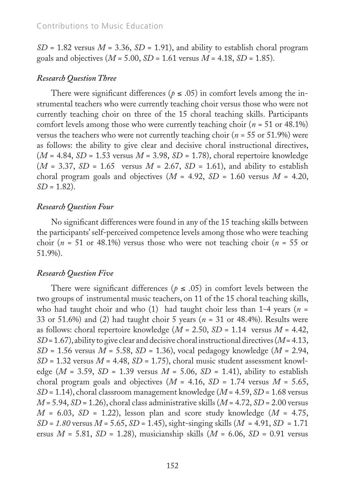$SD = 1.82$  versus  $M = 3.36$ ,  $SD = 1.91$ ), and ability to establish choral program goals and objectives  $(M = 5.00, SD = 1.61$  versus  $M = 4.18, SD = 1.85$ ).

#### *Research Question Three*

There were significant differences ( $p \le .05$ ) in comfort levels among the instrumental teachers who were currently teaching choir versus those who were not currently teaching choir on three of the 15 choral teaching skills. Participants comfort levels among those who were currently teaching choir (*n* = 51 or 48.1%) versus the teachers who were not currently teaching choir ( $n = 55$  or 51.9%) were as follows: the ability to give clear and decisive choral instructional directives, (*M* = 4.84, *SD* = 1.53 versus *M* = 3.98, *SD* = 1.78), choral repertoire knowledge  $(M = 3.37, SD = 1.65$  versus  $M = 2.67, SD = 1.61$ , and ability to establish choral program goals and objectives  $(M = 4.92, SD = 1.60$  versus  $M = 4.20$ , *SD* = 1.82).

#### *Research Question Four*

No significant differences were found in any of the 15 teaching skills between the participants' self-perceived competence levels among those who were teaching choir ( $n = 51$  or 48.1%) versus those who were not teaching choir ( $n = 55$  or 51.9%).

#### *Research Question Five*

There were significant differences ( $p \leq .05$ ) in comfort levels between the two groups of instrumental music teachers, on 11 of the 15 choral teaching skills, who had taught choir and who (1) had taught choir less than 1-4 years (*n* = 33 or 51.6%) and (2) had taught choir 5 years (*n* = 31 or 48.4%). Results were as follows: choral repertoire knowledge (*M* = 2.50, *SD* = 1.14 versus *M* = 4.42, *SD* = 1.67), ability to give clear and decisive choral instructional directives (*M* = 4.13, *SD* = 1.56 versus *M* = 5.58, *SD* = 1.36), vocal pedagogy knowledge (*M* = 2.94,  $SD = 1.32$  versus  $M = 4.48$ ,  $SD = 1.75$ ), choral music student assessment knowledge ( $M = 3.59$ ,  $SD = 1.39$  versus  $M = 5.06$ ,  $SD = 1.41$ ), ability to establish choral program goals and objectives  $(M = 4.16, SD = 1.74$  versus  $M = 5.65$ , *SD* = 1.14), choral classroom management knowledge (*M* = 4.59, *SD* = 1.68 versus *M* = 5.94, *SD* = 1.26), choral class administrative skills (*M* = 4.72, *SD* = 2.00 versus *M* = 6.03, *SD* = 1.22), lesson plan and score study knowledge (*M* = 4.75, *SD* = *1.80* versus *M* = 5.65, *SD* = 1.45), sight-singing skills (*M* = 4.91, *SD* = 1.71 ersus *M* = 5.81, *SD* = 1.28), musicianship skills (*M* = 6.06, *SD* = 0.91 versus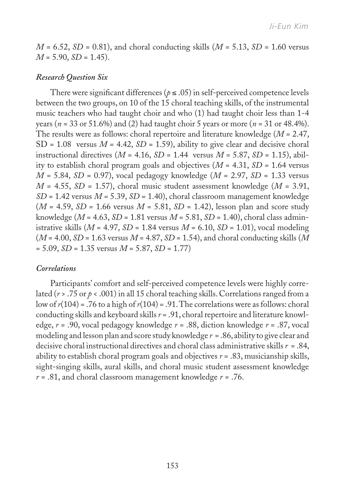$M = 6.52$ ,  $SD = 0.81$ ), and choral conducting skills ( $M = 5.13$ ,  $SD = 1.60$  versus *M* = 5.90, *SD* = 1.45).

#### *Research Question Six*

There were significant differences ( $p \le .05$ ) in self-perceived competence levels between the two groups, on 10 of the 15 choral teaching skills, of the instrumental music teachers who had taught choir and who (1) had taught choir less than 1-4 years (*n* = 33 or 51.6%) and (2) had taught choir 5 years or more (*n* = 31 or 48.4%). The results were as follows: choral repertoire and literature knowledge (*M* = 2.47,  $SD = 1.08$  versus  $M = 4.42$ ,  $SD = 1.59$ ), ability to give clear and decisive choral instructional directives ( $M = 4.16$ ,  $SD = 1.44$  versus  $M = 5.87$ ,  $SD = 1.15$ ), ability to establish choral program goals and objectives (*M* = 4.31, *SD* = 1.64 versus *M* = 5.84, *SD* = 0.97), vocal pedagogy knowledge (*M* = 2.97, *SD* = 1.33 versus  $M = 4.55$ ,  $SD = 1.57$ ), choral music student assessment knowledge ( $M = 3.91$ , *SD* = 1.42 versus *M* = 5.39, *SD* = 1.40), choral classroom management knowledge  $(M = 4.59, SD = 1.66$  versus  $M = 5.81, SD = 1.42$ ), lesson plan and score study knowledge (*M* = 4.63, *SD* = 1.81 versus *M* = 5.81, *SD* = 1.40), choral class administrative skills  $(M = 4.97, SD = 1.84$  versus  $M = 6.10, SD = 1.01$ , vocal modeling (*M* = 4.00, *SD* = 1.63 versus *M* = 4.87, *SD* = 1.54), and choral conducting skills (*M* = 5.09, *SD* = 1.35 versus *M* = 5.87, *SD* = 1.77)

#### *Correlations*

Participants' comfort and self-perceived competence levels were highly correlated (*r* > .75 or *p* < .001) in all 15 choral teaching skills. Correlations ranged from a low of  $r(104)$  = .76 to a high of  $r(104)$  = .91. The correlations were as follows: choral conducting skills and keyboard skills *r* = .91, choral repertoire and literature knowledge, *r* = .90, vocal pedagogy knowledge *r* = .88, diction knowledge *r* = .87, vocal modeling and lesson plan and score study knowledge *r* = .86, ability to give clear and decisive choral instructional directives and choral class administrative skills *r* = .84, ability to establish choral program goals and objectives *r* = .83, musicianship skills, sight-singing skills, aural skills, and choral music student assessment knowledge *r* = .81, and choral classroom management knowledge *r* = .76.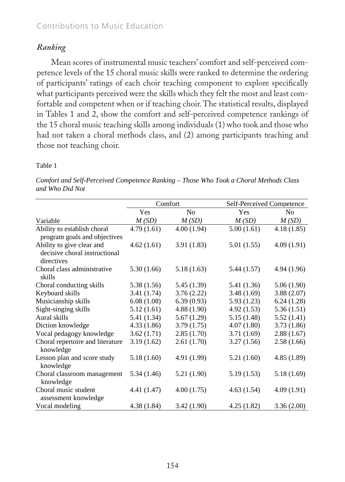## *Ranking*

Mean scores of instrumental music teachers' comfort and self-perceived competence levels of the 15 choral music skills were ranked to determine the ordering of participants' ratings of each choir teaching component to explore specifically what participants perceived were the skills which they felt the most and least comfortable and competent when or if teaching choir. The statistical results, displayed in Tables 1 and 2, show the comfort and self-perceived competence rankings of the 15 choral music teaching skills among individuals (1) who took and those who had not taken a choral methods class, and (2) among participants teaching and those not teaching choir.

#### Table 1

|                                                                          |             | Comfort     | Self-Perceived Competence |                |  |  |
|--------------------------------------------------------------------------|-------------|-------------|---------------------------|----------------|--|--|
|                                                                          | Yes         | No          | <b>Yes</b>                | N <sub>0</sub> |  |  |
| Variable                                                                 | M(SD)       | M(SD)       | M(SD)                     | M(SD)          |  |  |
| Ability to establish choral<br>program goals and objectives              | 4.79(1.61)  | 4.00(1.94)  | 5.00(1.61)                | 4.18(1.85)     |  |  |
| Ability to give clear and<br>decisive choral instructional<br>directives | 4.62(1.61)  | 3.91(1.83)  | 5.01 (1.55)               | 4.09(1.91)     |  |  |
| Choral class administrative<br>skills                                    | 5.30(1.66)  | 5.18(1.63)  | 5.44 (1.57)               | 4.94(1.96)     |  |  |
| Choral conducting skills                                                 | 5.38 (1.56) | 5.45 (1.39) | 5.41 (1.36)               | 5.06(1.90)     |  |  |
| Keyboard skills                                                          | 3.41 (1.74) | 3.76(2.22)  | 3.48(1.69)                | 3.88(2.07)     |  |  |
| Musicianship skills                                                      | 6.08(1.08)  | 6.39(0.93)  | 5.93(1.23)                | 6.24(1.28)     |  |  |
| Sight-singing skills                                                     | 5.12(1.61)  | 4.88(1.90)  | 4.92(1.53)                | 5.36(1.51)     |  |  |
| Aural skills                                                             | 5.41 (1.34) | 5.67(1.29)  | 5.15(1.48)                | 5.52(1.41)     |  |  |
| Diction knowledge                                                        | 4.33(1.86)  | 3.79(1.75)  | 4.07(1.80)                | 3.73(1.86)     |  |  |
| Vocal pedagogy knowledge                                                 | 3.62(1.71)  | 2.85(1.70)  | 3.71(1.69)                | 2.88(1.67)     |  |  |
| Choral repertoire and literature<br>knowledge                            | 3.19(1.62)  | 2.61(1.70)  | 3.27(1.56)                | 2.58(1.66)     |  |  |
| Lesson plan and score study<br>knowledge                                 | 5.18(1.60)  | 4.91 (1.99) | 5.21(1.60)                | 4.85(1.89)     |  |  |
| Choral classroom management<br>knowledge                                 | 5.34 (1.46) | 5.21 (1.90) | 5.19(1.53)                | 5.18(1.69)     |  |  |
| Choral music student<br>assessment knowledge                             | 4.41 (1.47) | 4.00(1.75)  | 4.63(1.54)                | 4.09(1.91)     |  |  |
| Vocal modeling                                                           | 4.38 (1.84) | 3.42(1.90)  | 4.25(1.82)                | 3.36(2.00)     |  |  |

Comfort and Self-Perceived Competence Ranking - Those Who Took a Choral Methods Class *and Who Did Not*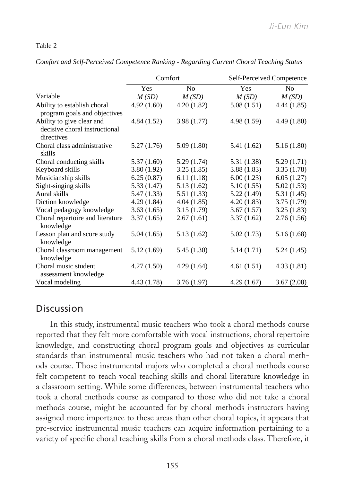# Table 2 Table 2

|                                                                          | Comfort     |                | Self-Perceived Competence |                |  |  |
|--------------------------------------------------------------------------|-------------|----------------|---------------------------|----------------|--|--|
|                                                                          | Yes         | N <sub>0</sub> | Yes                       | N <sub>0</sub> |  |  |
| Variable                                                                 | M(SD)       | M(SD)          | M(SD)                     | M(SD)          |  |  |
| Ability to establish choral<br>program goals and objectives              | 4.92(1.60)  | 4.20(1.82)     | 5.08(1.51)                | 4.44(1.85)     |  |  |
| Ability to give clear and<br>decisive choral instructional<br>directives | 4.84 (1.52) | 3.98(1.77)     | 4.98(1.59)                | 4.49(1.80)     |  |  |
| Choral class administrative<br>skills                                    | 5.27 (1.76) | 5.09(1.80)     | 5.41 (1.62)               | 5.16(1.80)     |  |  |
| Choral conducting skills                                                 | 5.37(1.60)  | 5.29(1.74)     | 5.31 (1.38)               | 5.29(1.71)     |  |  |
| Keyboard skills                                                          | 3.80(1.92)  | 3.25(1.85)     | 3.88(1.83)                | 3.35(1.78)     |  |  |
| Musicianship skills                                                      | 6.25(0.87)  | 6.11(1.18)     | 6.00(1.23)                | 6.05(1.27)     |  |  |
| Sight-singing skills                                                     | 5.33(1.47)  | 5.13(1.62)     | 5.10(1.55)                | 5.02(1.53)     |  |  |
| Aural skills                                                             | 5.47 (1.33) | 5.51 (1.33)    | 5.22(1.49)                | 5.31 (1.45)    |  |  |
| Diction knowledge                                                        | 4.29(1.84)  | 4.04(1.85)     | 4.20(1.83)                | 3.75(1.79)     |  |  |
| Vocal pedagogy knowledge                                                 | 3.63(1.65)  | 3.15(1.79)     | 3.67(1.57)                | 3.25(1.83)     |  |  |
| Choral repertoire and literature<br>knowledge                            | 3.37(1.65)  | 2.67(1.61)     | 3.37(1.62)                | 2.76(1.56)     |  |  |
| Lesson plan and score study<br>knowledge                                 | 5.04(1.65)  | 5.13(1.62)     | 5.02(1.73)                | 5.16(1.68)     |  |  |
| Choral classroom management<br>knowledge                                 | 5.12(1.69)  | 5.45(1.30)     | 5.14(1.71)                | 5.24(1.45)     |  |  |
| Choral music student<br>assessment knowledge                             | 4.27(1.50)  | 4.29(1.64)     | 4.61(1.51)                | 4.33(1.81)     |  |  |
| Vocal modeling                                                           | 4.43 (1.78) | 3.76(1.97)     | 4.29(1.67)                | 3.67(2.08)     |  |  |

*Comfort and Self-Perceived Competence Ranking - Regarding Current Choral Teaching Status* 

# Discussion

assigned more importance to these areas than other choral topics, it appears that  $\frac{1}{2}$  that thay falt mass comfortable with yogal instructions, shoral reporteixe knowledge, and constructing choral program goals and objectives as curricular cols course. Those instrumental majors who completed a choral methods course felt competent to teach vocal teaching skills and choral literature knowledge in took a choral methods course as compared to those who did not take a choral pre-service instrumental music teachers can acquire information pertaining to a In this study, instrumental music teachers who took a choral methods course reported that they felt more comfortable with vocal instructions, choral repertoire standards than instrumental music teachers who had not taken a choral methods course. Those instrumental majors who completed a choral methods course a classroom setting. While some differences, between instrumental teachers who took a choral methods course as compared to those who did not take a choral literature knowledge in a choral methods course as compared to those who did not take a choral methods course, might be accounted for by choral methods instructors having variety of specific choral teaching skills from a choral methods class. Therefore, it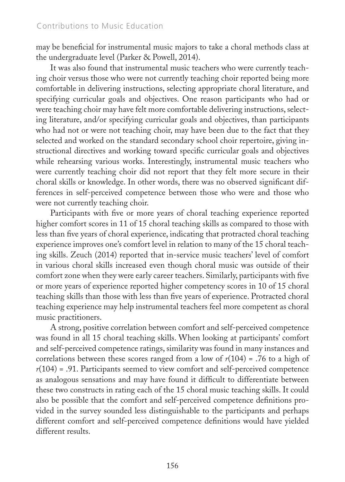may be beneficial for instrumental music majors to take a choral methods class at the undergraduate level (Parker & Powell, 2014).

It was also found that instrumental music teachers who were currently teaching choir versus those who were not currently teaching choir reported being more comfortable in delivering instructions, selecting appropriate choral literature, and specifying curricular goals and objectives. One reason participants who had or were teaching choir may have felt more comfortable delivering instructions, selecting literature, and/or specifying curricular goals and objectives, than participants who had not or were not teaching choir, may have been due to the fact that they selected and worked on the standard secondary school choir repertoire, giving instructional directives and working toward specific curricular goals and objectives while rehearsing various works. Interestingly, instrumental music teachers who were currently teaching choir did not report that they felt more secure in their choral skills or knowledge. In other words, there was no observed significant differences in self-perceived competence between those who were and those who were not currently teaching choir.

Participants with five or more years of choral teaching experience reported higher comfort scores in 11 of 15 choral teaching skills as compared to those with less than five years of choral experience, indicating that protracted choral teaching experience improves one's comfort level in relation to many of the 15 choral teaching skills. Zeuch (2014) reported that in-service music teachers' level of comfort in various choral skills increased even though choral music was outside of their comfort zone when they were early career teachers. Similarly, participants with five or more years of experience reported higher competency scores in 10 of 15 choral teaching skills than those with less than five years of experience. Protracted choral teaching experience may help instrumental teachers feel more competent as choral music practitioners.

A strong, positive correlation between comfort and self-perceived competence was found in all 15 choral teaching skills. When looking at participants' comfort and self-perceived competence ratings, similarity was found in many instances and correlations between these scores ranged from a low of  $r(104) = .76$  to a high of *r*(104) = .91. Participants seemed to view comfort and self-perceived competence as analogous sensations and may have found it difficult to differentiate between these two constructs in rating each of the 15 choral music teaching skills. It could also be possible that the comfort and self-perceived competence definitions provided in the survey sounded less distinguishable to the participants and perhaps different comfort and self-perceived competence definitions would have yielded different results.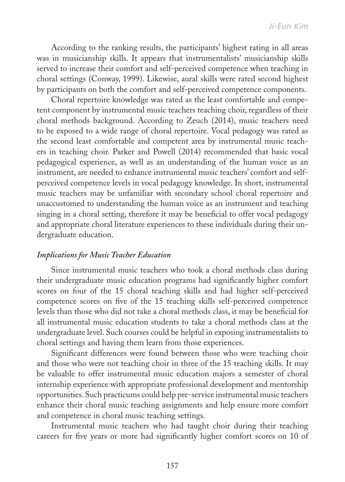According to the ranking results, the participants' highest rating in all areas was in musicianship skills. It appears that instrumentalists' musicianship skills served to increase their comfort and self-perceived competence when teaching in choral settings (Conway, 1999). Likewise, aural skills were rated second highest by participants on both the comfort and self-perceived competence components.

Choral repertoire knowledge was rated as the least comfortable and competent component by instrumental music teachers teaching choir, regardless of their choral methods background. According to Zeuch (2014), music teachers need to be exposed to a wide range of choral repertoire. Vocal pedagogy was rated as the second least comfortable and competent area by instrumental music teachers in teaching choir. Parker and Powell (2014) recommended that basic vocal pedagogical experience, as well as an understanding of the human voice as an instrument, are needed to enhance instrumental music teachers' comfort and selfperceived competence levels in vocal pedagogy knowledge. In short, instrumental music teachers may be unfamiliar with secondary school choral repertoire and unaccustomed to understanding the human voice as an instrument and teaching singing in a choral setting, therefore it may be beneficial to offer vocal pedagogy and appropriate choral literature experiences to these individuals during their undergraduate education.

#### *Implications for Music Teacher Education*

Since instrumental music teachers who took a choral methods class during their undergraduate music education programs had significantly higher comfort scores on four of the 15 choral teaching skills and had higher self-perceived competence scores on five of the 15 teaching skills self-perceived competence levels than those who did not take a choral methods class, it may be beneficial for all instrumental music education students to take a choral methods class at the undergraduate level. Such courses could be helpful in exposing instrumentalists to choral settings and having them learn from those experiences.

Significant differences were found between those who were teaching choir and those who were not teaching choir in three of the 15 teaching skills. It may be valuable to offer instrumental music education majors a semester of choral internship experience with appropriate professional development and mentorship opportunities. Such practicums could help pre-service instrumental music teachers enhance their choral music teaching assignments and help ensure more comfort and competence in choral music teaching settings.

Instrumental music teachers who had taught choir during their teaching careers for five years or more had significantly higher comfort scores on 10 of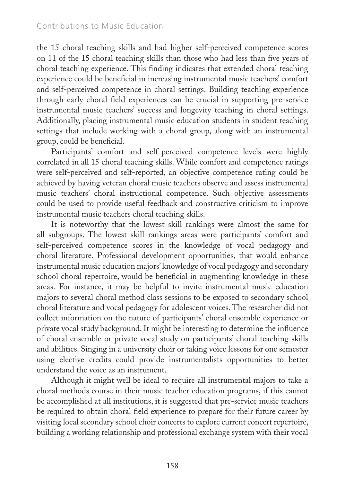the 15 choral teaching skills and had higher self-perceived competence scores on 11 of the 15 choral teaching skills than those who had less than five years of choral teaching experience. This finding indicates that extended choral teaching experience could be beneficial in increasing instrumental music teachers' comfort and self-perceived competence in choral settings. Building teaching experience through early choral field experiences can be crucial in supporting pre-service instrumental music teachers' success and longevity teaching in choral settings. Additionally, placing instrumental music education students in student teaching settings that include working with a choral group, along with an instrumental group, could be beneficial.

Participants' comfort and self-perceived competence levels were highly correlated in all 15 choral teaching skills. While comfort and competence ratings were self-perceived and self-reported, an objective competence rating could be achieved by having veteran choral music teachers observe and assess instrumental music teachers' choral instructional competence. Such objective assessments could be used to provide useful feedback and constructive criticism to improve instrumental music teachers choral teaching skills.

It is noteworthy that the lowest skill rankings were almost the same for all subgroups. The lowest skill rankings areas were participants' comfort and self-perceived competence scores in the knowledge of vocal pedagogy and choral literature. Professional development opportunities, that would enhance instrumental music education majors' knowledge of vocal pedagogy and secondary school choral repertoire, would be beneficial in augmenting knowledge in these areas. For instance, it may be helpful to invite instrumental music education majors to several choral method class sessions to be exposed to secondary school choral literature and vocal pedagogy for adolescent voices. The researcher did not collect information on the nature of participants' choral ensemble experience or private vocal study background. It might be interesting to determine the influence of choral ensemble or private vocal study on participants' choral teaching skills and abilities. Singing in a university choir or taking voice lessons for one semester using elective credits could provide instrumentalists opportunities to better understand the voice as an instrument.

Although it might well be ideal to require all instrumental majors to take a choral methods course in their music teacher education programs, if this cannot be accomplished at all institutions, it is suggested that pre-service music teachers be required to obtain choral field experience to prepare for their future career by visiting local secondary school choir concerts to explore current concert repertoire, building a working relationship and professional exchange system with their vocal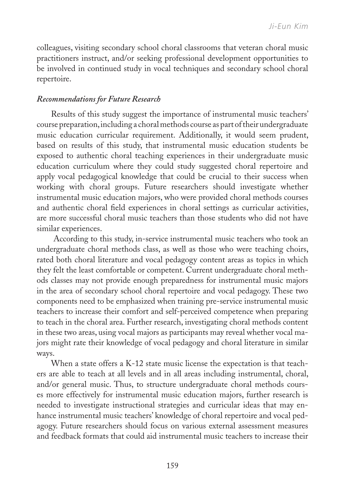colleagues, visiting secondary school choral classrooms that veteran choral music practitioners instruct, and/or seeking professional development opportunities to be involved in continued study in vocal techniques and secondary school choral repertoire.

#### *Recommendations for Future Research*

Results of this study suggest the importance of instrumental music teachers' course preparation, including a choral methods course as part of their undergraduate music education curricular requirement. Additionally, it would seem prudent, based on results of this study, that instrumental music education students be exposed to authentic choral teaching experiences in their undergraduate music education curriculum where they could study suggested choral repertoire and apply vocal pedagogical knowledge that could be crucial to their success when working with choral groups. Future researchers should investigate whether instrumental music education majors, who were provided choral methods courses and authentic choral field experiences in choral settings as curricular activities, are more successful choral music teachers than those students who did not have similar experiences.

 According to this study, in-service instrumental music teachers who took an undergraduate choral methods class, as well as those who were teaching choirs, rated both choral literature and vocal pedagogy content areas as topics in which they felt the least comfortable or competent. Current undergraduate choral methods classes may not provide enough preparedness for instrumental music majors in the area of secondary school choral repertoire and vocal pedagogy. These two components need to be emphasized when training pre-service instrumental music teachers to increase their comfort and self-perceived competence when preparing to teach in the choral area. Further research, investigating choral methods content in these two areas, using vocal majors as participants may reveal whether vocal majors might rate their knowledge of vocal pedagogy and choral literature in similar ways.

When a state offers a K-12 state music license the expectation is that teachers are able to teach at all levels and in all areas including instrumental, choral, and/or general music. Thus, to structure undergraduate choral methods courses more effectively for instrumental music education majors, further research is needed to investigate instructional strategies and curricular ideas that may enhance instrumental music teachers' knowledge of choral repertoire and vocal pedagogy. Future researchers should focus on various external assessment measures and feedback formats that could aid instrumental music teachers to increase their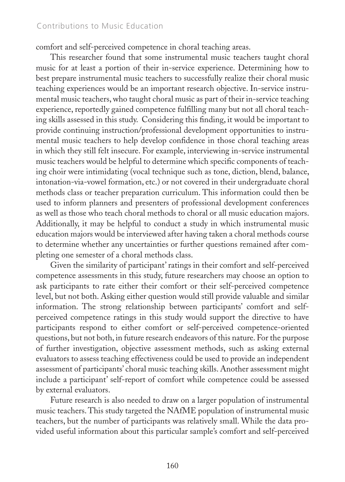#### Contributions to Music Education

comfort and self-perceived competence in choral teaching areas.

This researcher found that some instrumental music teachers taught choral music for at least a portion of their in-service experience. Determining how to best prepare instrumental music teachers to successfully realize their choral music teaching experiences would be an important research objective. In-service instrumental music teachers, who taught choral music as part of their in-service teaching experience, reportedly gained competence fulfilling many but not all choral teaching skills assessed in this study. Considering this finding, it would be important to provide continuing instruction/professional development opportunities to instrumental music teachers to help develop confidence in those choral teaching areas in which they still felt insecure. For example, interviewing in-service instrumental music teachers would be helpful to determine which specific components of teaching choir were intimidating (vocal technique such as tone, diction, blend, balance, intonation-via-vowel formation, etc.) or not covered in their undergraduate choral methods class or teacher preparation curriculum. This information could then be used to inform planners and presenters of professional development conferences as well as those who teach choral methods to choral or all music education majors. Additionally, it may be helpful to conduct a study in which instrumental music education majors would be interviewed after having taken a choral methods course to determine whether any uncertainties or further questions remained after completing one semester of a choral methods class.

Given the similarity of participant' ratings in their comfort and self-perceived competence assessments in this study, future researchers may choose an option to ask participants to rate either their comfort or their self-perceived competence level, but not both. Asking either question would still provide valuable and similar information. The strong relationship between participants' comfort and selfperceived competence ratings in this study would support the directive to have participants respond to either comfort or self-perceived competence-oriented questions, but not both, in future research endeavors of this nature. For the purpose of further investigation, objective assessment methods, such as asking external evaluators to assess teaching effectiveness could be used to provide an independent assessment of participants' choral music teaching skills. Another assessment might include a participant' self-report of comfort while competence could be assessed by external evaluators.

Future research is also needed to draw on a larger population of instrumental music teachers. This study targeted the NAfME population of instrumental music teachers, but the number of participants was relatively small. While the data provided useful information about this particular sample's comfort and self-perceived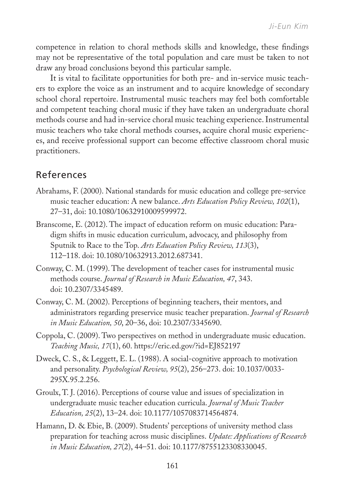competence in relation to choral methods skills and knowledge, these findings may not be representative of the total population and care must be taken to not draw any broad conclusions beyond this particular sample.

It is vital to facilitate opportunities for both pre- and in-service music teachers to explore the voice as an instrument and to acquire knowledge of secondary school choral repertoire. Instrumental music teachers may feel both comfortable and competent teaching choral music if they have taken an undergraduate choral methods course and had in-service choral music teaching experience. Instrumental music teachers who take choral methods courses, acquire choral music experiences, and receive professional support can become effective classroom choral music practitioners.

# References

- Abrahams, F. (2000). National standards for music education and college pre-service music teacher education: A new balance. *Arts Education Policy Review, 102*(1), 27–31, doi: 10.1080/10632910009599972.
- Branscome, E. (2012). The impact of education reform on music education: Paradigm shifts in music education curriculum, advocacy, and philosophy from Sputnik to Race to the Top. *Arts Education Policy Review, 113*(3), 112–118. doi: 10.1080/10632913.2012.687341.
- Conway, C. M. (1999). The development of teacher cases for instrumental music methods course. *Journal of Research in Music Education, 47*, 343. doi: 10.2307/3345489.
- Conway, C. M. (2002). Perceptions of beginning teachers, their mentors, and administrators regarding preservice music teacher preparation. *Journal of Research in Music Education, 50*, 20–36, doi: 10.2307/3345690.
- Coppola, C. (2009). Two perspectives on method in undergraduate music education. *Teaching Music, 17*(1), 60. https://eric.ed.gov/?id=EJ852197
- Dweck, C. S., & Leggett, E. L. (1988). A social-cognitive approach to motivation and personality. *Psychological Review, 95*(2), 256–273. doi: 10.1037/0033- 295X.95.2.256.
- Groulx, T. J. (2016). Perceptions of course value and issues of specialization in undergraduate music teacher education curricula. *Journal of Music Teacher Education, 25*(2), 13–24. doi: 10.1177/1057083714564874.
- Hamann, D. & Ebie, B. (2009). Students' perceptions of university method class preparation for teaching across music disciplines. *Update: Applications of Research in Music Education, 27*(2), 44–51. doi: 10.1177/8755123308330045.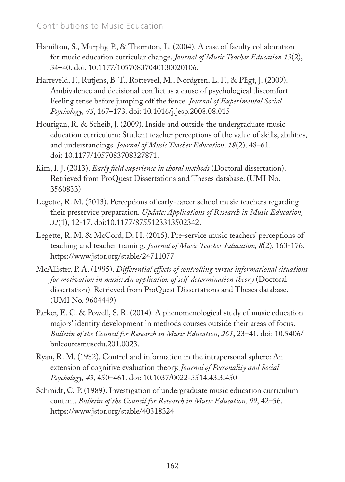- Hamilton, S., Murphy, P., & Thornton, L. (2004). A case of faculty collaboration for music education curricular change. *Journal of Music Teacher Education 13*(2), 34–40. doi: 10.1177/10570837040130020106.
- Harreveld, F., Rutjens, B. T., Rotteveel, M., Nordgren, L. F., & Pligt, J. (2009). Ambivalence and decisional conflict as a cause of psychological discomfort: Feeling tense before jumping off the fence. *Journal of Experimental Social Psychology, 45*, 167–173. doi: 10.1016/j.jesp.2008.08.015
- Hourigan, R. & Scheib, J. (2009). Inside and outside the undergraduate music education curriculum: Student teacher perceptions of the value of skills, abilities, and understandings. *Journal of Music Teacher Education, 18*(2), 48–61. doi: 10.1177/1057083708327871.
- Kim, I. J. (2013). *Early field experience in choral methods* (Doctoral dissertation). Retrieved from ProQuest Dissertations and Theses database. (UMI No. 3560833)
- Legette, R. M. (2013). Perceptions of early-career school music teachers regarding their preservice preparation. *Update: Applications of Research in Music Education, 32*(1), 12-17. doi:10.1177/8755123313502342.
- Legette, R. M. & McCord, D. H. (2015). Pre-service music teachers' perceptions of teaching and teacher training. *Journal of Music Teacher Education, 8*(2), 163-176. https://www.jstor.org/stable/24711077
- McAllister, P. A. (1995). *Differential effects of controlling versus informational situations for motivation in music: An application of self-determination theory* (Doctoral dissertation). Retrieved from ProQuest Dissertations and Theses database. (UMI No. 9604449)
- Parker, E. C. & Powell, S. R. (2014). A phenomenological study of music education majors' identity development in methods courses outside their areas of focus. *Bulletin of the Council for Research in Music Education, 201*, 23–41. doi: 10.5406/ bulcouresmusedu.201.0023.
- Ryan, R. M. (1982). Control and information in the intrapersonal sphere: An extension of cognitive evaluation theory. *Journal of Personality and Social Psychology, 43*, 450–461. doi: 10.1037/0022-3514.43.3.450
- Schmidt, C. P. (1989). Investigation of undergraduate music education curriculum content. *Bulletin of the Council for Research in Music Education, 99*, 42–56. https://www.jstor.org/stable/40318324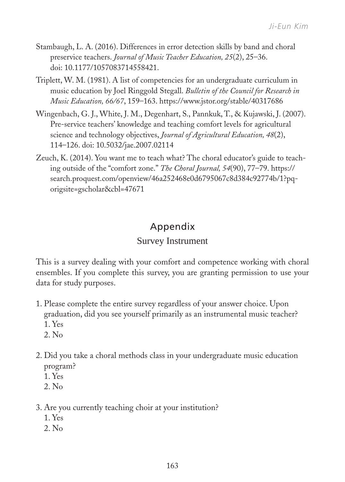- Stambaugh, L. A. (2016). Differences in error detection skills by band and choral preservice teachers. *Journal of Music Teacher Education, 25*(2), 25–36. doi: 10.1177/1057083714558421.
- Triplett, W. M. (1981). A list of competencies for an undergraduate curriculum in music education by Joel Ringgold Stegall. *Bulletin of the Council for Research in Music Education, 66/67*, 159–163. https://www.jstor.org/stable/40317686
- Wingenbach, G. J., White, J. M., Degenhart, S., Pannkuk, T., & Kujawski, J. (2007). Pre-service teachers' knowledge and teaching comfort levels for agricultural science and technology objectives, *Journal of Agricultural Education, 48*(2), 114–126. doi: 10.5032/jae.2007.02114
- Zeuch, K. (2014). You want me to teach what? The choral educator's guide to teaching outside of the "comfort zone." *The Choral Journal, 54*(90), 77–79. https:// search.proquest.com/openview/46a252468e0d6795067c8d384c92774b/1?pqorigsite=gscholar&cbl=47671

# Appendix

# Survey Instrument

This is a survey dealing with your comfort and competence working with choral ensembles. If you complete this survey, you are granting permission to use your data for study purposes.

- 1. Please complete the entire survey regardless of your answer choice. Upon graduation, did you see yourself primarily as an instrumental music teacher? 1. Yes
	- 2. No
- 2. Did you take a choral methods class in your undergraduate music education program?
	- 1. Yes
	- $2$ . No.
- 3. Are you currently teaching choir at your institution?
	- 1. Yes
	- 2. No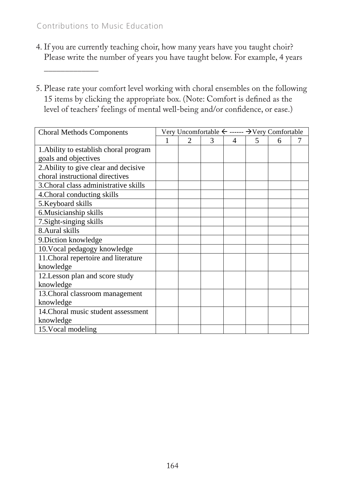### Contributions to Music Education

\_\_\_\_\_\_\_\_\_\_\_\_\_

- 4. If you are currently teaching choir, how many years have you taught choir? Please write the number of years you have taught below. For example, 4 years
- 5. Please rate your comfort level working with choral ensembles on the following 15 items by clicking the appropriate box. (Note: Comfort is defined as the level of teachers' feelings of mental well-being and/or confidence, or ease.)

| <b>Choral Methods Components</b>       | Very Uncomfortable $\leftarrow$ ------ $\rightarrow$ Very Comfortable |                |   |   |   |   |  |
|----------------------------------------|-----------------------------------------------------------------------|----------------|---|---|---|---|--|
|                                        |                                                                       | $\mathfrak{D}$ | 3 | 4 | 5 | 6 |  |
| 1. Ability to establish choral program |                                                                       |                |   |   |   |   |  |
| goals and objectives                   |                                                                       |                |   |   |   |   |  |
| 2. Ability to give clear and decisive  |                                                                       |                |   |   |   |   |  |
| choral instructional directives        |                                                                       |                |   |   |   |   |  |
| 3. Choral class administrative skills  |                                                                       |                |   |   |   |   |  |
| 4. Choral conducting skills            |                                                                       |                |   |   |   |   |  |
| 5. Keyboard skills                     |                                                                       |                |   |   |   |   |  |
| 6. Musicianship skills                 |                                                                       |                |   |   |   |   |  |
| 7. Sight-singing skills                |                                                                       |                |   |   |   |   |  |
| 8. Aural skills                        |                                                                       |                |   |   |   |   |  |
| 9. Diction knowledge                   |                                                                       |                |   |   |   |   |  |
| 10. Vocal pedagogy knowledge           |                                                                       |                |   |   |   |   |  |
| 11. Choral repertoire and literature   |                                                                       |                |   |   |   |   |  |
| knowledge                              |                                                                       |                |   |   |   |   |  |
| 12. Lesson plan and score study        |                                                                       |                |   |   |   |   |  |
| knowledge                              |                                                                       |                |   |   |   |   |  |
| 13. Choral classroom management        |                                                                       |                |   |   |   |   |  |
| knowledge                              |                                                                       |                |   |   |   |   |  |
| 14. Choral music student assessment    |                                                                       |                |   |   |   |   |  |
| knowledge                              |                                                                       |                |   |   |   |   |  |
| 15. Vocal modeling                     |                                                                       |                |   |   |   |   |  |